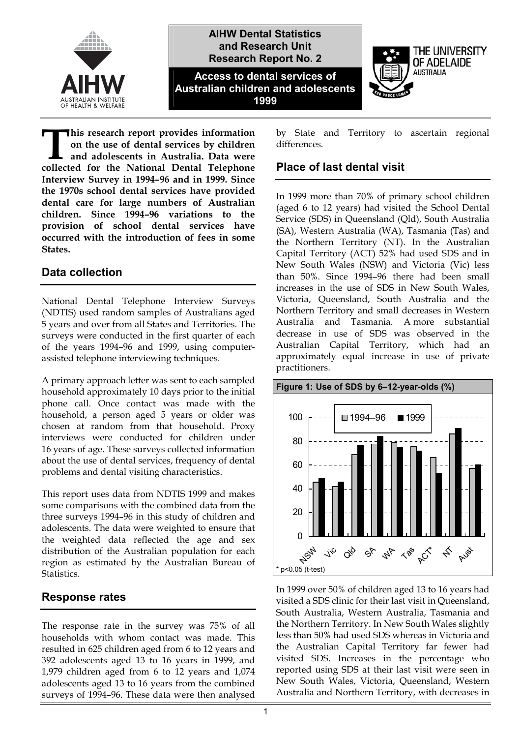

**his research report provides information on the use of dental services by children and adolescents in Australia. Data were collected for the National Dental Services by children**<br> **Collected for the National Dental Telephone Interview Survey in 1994–96 and in 1999. Since the 1970s school dental services have provided dental care for large numbers of Australian children. Since 1994–96 variations to the provision of school dental services have occurred with the introduction of fees in some States.** 

#### **Data collection**

National Dental Telephone Interview Surveys (NDTIS) used random samples of Australians aged 5 years and over from all States and Territories. The surveys were conducted in the first quarter of each of the years 1994–96 and 1999, using computerassisted telephone interviewing techniques.

A primary approach letter was sent to each sampled household approximately 10 days prior to the initial phone call. Once contact was made with the household, a person aged 5 years or older was chosen at random from that household. Proxy interviews were conducted for children under 16 years of age. These surveys collected information about the use of dental services, frequency of dental problems and dental visiting characteristics.

This report uses data from NDTIS 1999 and makes some comparisons with the combined data from the three surveys 1994–96 in this study of children and adolescents. The data were weighted to ensure that the weighted data reflected the age and sex distribution of the Australian population for each region as estimated by the Australian Bureau of **Statistics** 

## **Response rates**

The response rate in the survey was 75% of all households with whom contact was made. This resulted in 625 children aged from 6 to 12 years and 392 adolescents aged 13 to 16 years in 1999, and 1,979 children aged from 6 to 12 years and 1,074 adolescents aged 13 to 16 years from the combined surveys of 1994–96. These data were then analysed

by State and Territory to ascertain regional differences.

### **Place of last dental visit**

In 1999 more than 70% of primary school children (aged 6 to 12 years) had visited the School Dental Service (SDS) in Queensland (Qld), South Australia (SA), Western Australia (WA), Tasmania (Tas) and the Northern Territory (NT). In the Australian Capital Territory (ACT) 52% had used SDS and in New South Wales (NSW) and Victoria (Vic) less than 50%. Since 1994–96 there had been small increases in the use of SDS in New South Wales, Victoria, Queensland, South Australia and the Northern Territory and small decreases in Western Australia and Tasmania. A more substantial decrease in use of SDS was observed in the Australian Capital Territory, which had an approximately equal increase in use of private practitioners.



In 1999 over 50% of children aged 13 to 16 years had visited a SDS clinic for their last visit in Queensland, South Australia, Western Australia, Tasmania and the Northern Territory. In New South Wales slightly less than 50% had used SDS whereas in Victoria and the Australian Capital Territory far fewer had visited SDS. Increases in the percentage who reported using SDS at their last visit were seen in New South Wales, Victoria, Queensland, Western Australia and Northern Territory, with decreases in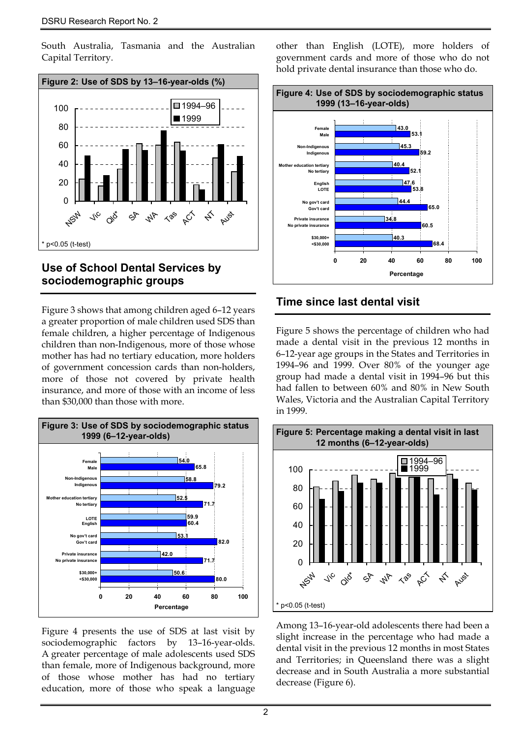South Australia, Tasmania and the Australian Capital Territory.



#### **Use of School Dental Services by sociodemographic groups**

Figure 3 shows that among children aged 6–12 years a greater proportion of male children used SDS than female children, a higher percentage of Indigenous children than non-Indigenous, more of those whose mother has had no tertiary education, more holders of government concession cards than non-holders, more of those not covered by private health insurance, and more of those with an income of less than \$30,000 than those with more.



Figure 4 presents the use of SDS at last visit by sociodemographic factors by 13–16-year-olds. A greater percentage of male adolescents used SDS than female, more of Indigenous background, more of those whose mother has had no tertiary education, more of those who speak a language other than English (LOTE), more holders of government cards and more of those who do not hold private dental insurance than those who do.



## **Time since last dental visit**

Figure 5 shows the percentage of children who had made a dental visit in the previous 12 months in 6–12-year age groups in the States and Territories in 1994–96 and 1999. Over 80% of the younger age group had made a dental visit in 1994–96 but this had fallen to between 60% and 80% in New South Wales, Victoria and the Australian Capital Territory in 1999.



Among 13–16-year-old adolescents there had been a slight increase in the percentage who had made a dental visit in the previous 12 months in most States and Territories; in Queensland there was a slight decrease and in South Australia a more substantial decrease (Figure 6).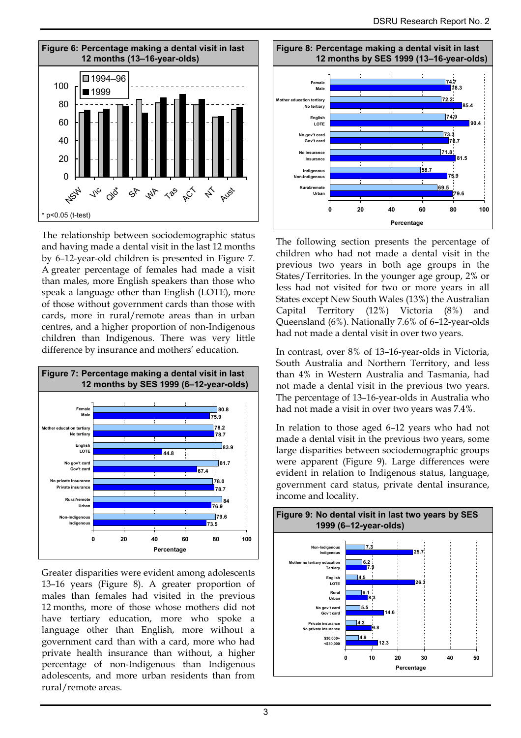

The relationship between sociodemographic status and having made a dental visit in the last 12 months by 6–12-year-old children is presented in Figure 7. A greater percentage of females had made a visit than males, more English speakers than those who speak a language other than English (LOTE), more of those without government cards than those with cards, more in rural/remote areas than in urban centres, and a higher proportion of non-Indigenous children than Indigenous. There was very little difference by insurance and mothers' education.



Greater disparities were evident among adolescents 13–16 years (Figure 8). A greater proportion of males than females had visited in the previous 12 months, more of those whose mothers did not have tertiary education, more who spoke a language other than English, more without a government card than with a card, more who had private health insurance than without, a higher percentage of non-Indigenous than Indigenous adolescents, and more urban residents than from rural/remote areas.



The following section presents the percentage of children who had not made a dental visit in the previous two years in both age groups in the States/Territories. In the younger age group, 2% or less had not visited for two or more years in all States except New South Wales (13%) the Australian Capital Territory (12%) Victoria (8%) and Queensland (6%). Nationally 7.6% of 6–12-year-olds had not made a dental visit in over two years.

In contrast, over 8% of 13–16-year-olds in Victoria, South Australia and Northern Territory, and less than 4% in Western Australia and Tasmania, had not made a dental visit in the previous two years. The percentage of 13–16-year-olds in Australia who had not made a visit in over two years was 7.4%.

In relation to those aged 6–12 years who had not made a dental visit in the previous two years, some large disparities between sociodemographic groups were apparent (Figure 9). Large differences were evident in relation to Indigenous status, language, government card status, private dental insurance, income and locality.